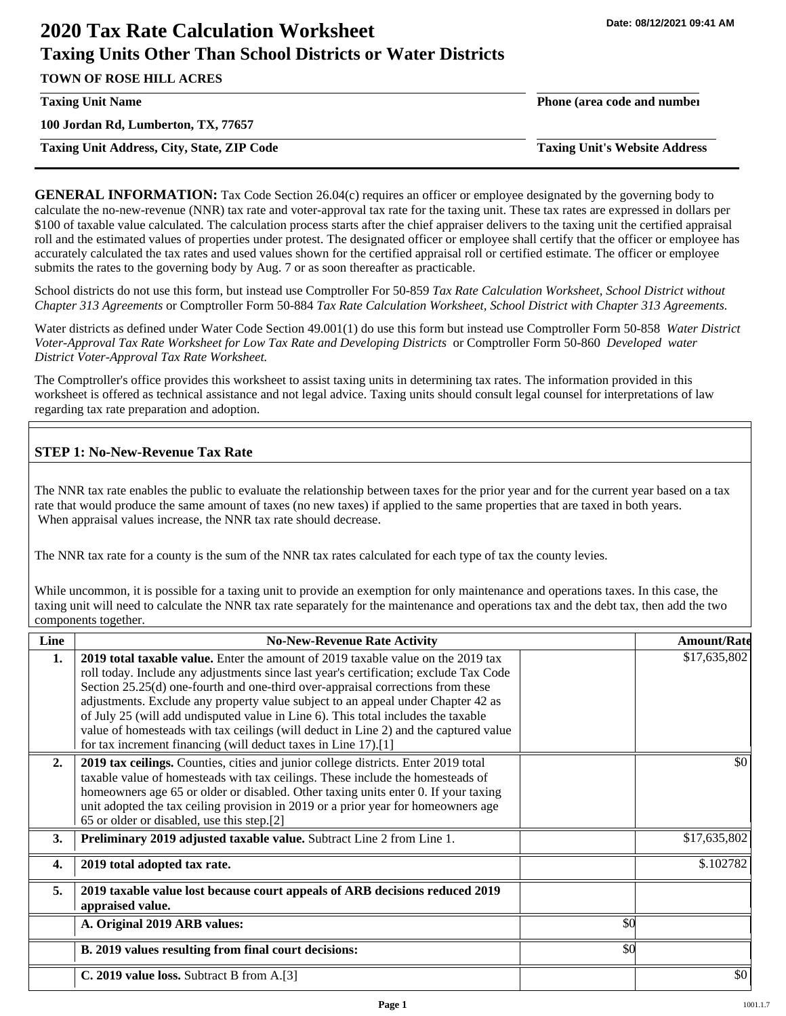# **2020 Tax Rate Calculation Worksheet Taxing Units Other Than School Districts or Water Districts**

**TOWN OF ROSE HILL ACRES**

**100 Jordan Rd, Lumberton, TX, 77657**

**Taxing Unit Address, City, State, ZIP Code Taxing Unit's Website Address**

**Taxing Unit Name Phone (area code and number**

**GENERAL INFORMATION:** Tax Code Section 26.04(c) requires an officer or employee designated by the governing body to calculate the no-new-revenue (NNR) tax rate and voter-approval tax rate for the taxing unit. These tax rates are expressed in dollars per \$100 of taxable value calculated. The calculation process starts after the chief appraiser delivers to the taxing unit the certified appraisal roll and the estimated values of properties under protest. The designated officer or employee shall certify that the officer or employee has accurately calculated the tax rates and used values shown for the certified appraisal roll or certified estimate. The officer or employee submits the rates to the governing body by Aug. 7 or as soon thereafter as practicable.

School districts do not use this form, but instead use Comptroller For 50-859 *Tax Rate Calculation Worksheet, School District without Chapter 313 Agreements* or Comptroller Form 50-884 *Tax Rate Calculation Worksheet, School District with Chapter 313 Agreements.*

Water districts as defined under Water Code Section 49.001(1) do use this form but instead use Comptroller Form 50-858 *Water District Voter-Approval Tax Rate Worksheet for Low Tax Rate and Developing Districts* or Comptroller Form 50-860 *Developed water District Voter-Approval Tax Rate Worksheet.*

The Comptroller's office provides this worksheet to assist taxing units in determining tax rates. The information provided in this worksheet is offered as technical assistance and not legal advice. Taxing units should consult legal counsel for interpretations of law regarding tax rate preparation and adoption.

# **STEP 1: No-New-Revenue Tax Rate**

The NNR tax rate enables the public to evaluate the relationship between taxes for the prior year and for the current year based on a tax rate that would produce the same amount of taxes (no new taxes) if applied to the same properties that are taxed in both years. When appraisal values increase, the NNR tax rate should decrease.

The NNR tax rate for a county is the sum of the NNR tax rates calculated for each type of tax the county levies.

While uncommon, it is possible for a taxing unit to provide an exemption for only maintenance and operations taxes. In this case, the taxing unit will need to calculate the NNR tax rate separately for the maintenance and operations tax and the debt tax, then add the two components together.

| Line             | <b>No-New-Revenue Rate Activity</b>                                                                                                                                                                                                                                                                                                                                                                                                                                                                                                                                                                    |     | <b>Amount/Rate</b> |
|------------------|--------------------------------------------------------------------------------------------------------------------------------------------------------------------------------------------------------------------------------------------------------------------------------------------------------------------------------------------------------------------------------------------------------------------------------------------------------------------------------------------------------------------------------------------------------------------------------------------------------|-----|--------------------|
| 1.               | <b>2019 total taxable value.</b> Enter the amount of 2019 taxable value on the 2019 tax<br>roll today. Include any adjustments since last year's certification; exclude Tax Code<br>Section 25.25(d) one-fourth and one-third over-appraisal corrections from these<br>adjustments. Exclude any property value subject to an appeal under Chapter 42 as<br>of July 25 (will add undisputed value in Line 6). This total includes the taxable<br>value of homesteads with tax ceilings (will deduct in Line 2) and the captured value<br>for tax increment financing (will deduct taxes in Line 17).[1] |     | \$17,635,802       |
| 2.               | 2019 tax ceilings. Counties, cities and junior college districts. Enter 2019 total<br>taxable value of homesteads with tax ceilings. These include the homesteads of<br>homeowners age 65 or older or disabled. Other taxing units enter 0. If your taxing<br>unit adopted the tax ceiling provision in 2019 or a prior year for homeowners age<br>65 or older or disabled, use this step.[2]                                                                                                                                                                                                          |     | \$0                |
| 3.               | Preliminary 2019 adjusted taxable value. Subtract Line 2 from Line 1.                                                                                                                                                                                                                                                                                                                                                                                                                                                                                                                                  |     | \$17,635,802       |
| $\overline{4}$ . | 2019 total adopted tax rate.                                                                                                                                                                                                                                                                                                                                                                                                                                                                                                                                                                           |     | \$.102782          |
| 5.               | 2019 taxable value lost because court appeals of ARB decisions reduced 2019<br>appraised value.                                                                                                                                                                                                                                                                                                                                                                                                                                                                                                        |     |                    |
|                  | A. Original 2019 ARB values:                                                                                                                                                                                                                                                                                                                                                                                                                                                                                                                                                                           | \$0 |                    |
|                  | B. 2019 values resulting from final court decisions:                                                                                                                                                                                                                                                                                                                                                                                                                                                                                                                                                   | \$0 |                    |
|                  | C. 2019 value loss. Subtract B from A.[3]                                                                                                                                                                                                                                                                                                                                                                                                                                                                                                                                                              |     | \$0                |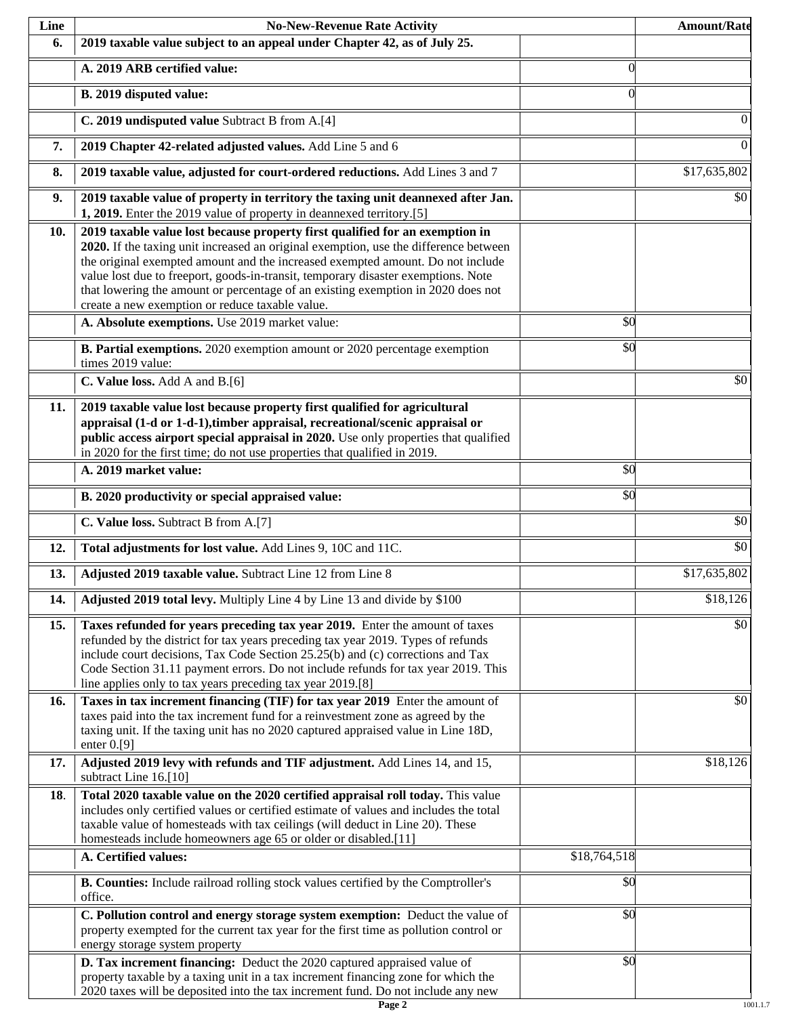| Line | <b>No-New-Revenue Rate Activity</b>                                                                                                                                                                                                                                                                                                                                                                                                                                                |                 | <b>Amount/Rate</b> |
|------|------------------------------------------------------------------------------------------------------------------------------------------------------------------------------------------------------------------------------------------------------------------------------------------------------------------------------------------------------------------------------------------------------------------------------------------------------------------------------------|-----------------|--------------------|
| 6.   | 2019 taxable value subject to an appeal under Chapter 42, as of July 25.                                                                                                                                                                                                                                                                                                                                                                                                           |                 |                    |
|      | A. 2019 ARB certified value:                                                                                                                                                                                                                                                                                                                                                                                                                                                       | $\theta$        |                    |
|      | B. 2019 disputed value:                                                                                                                                                                                                                                                                                                                                                                                                                                                            | $\Omega$        |                    |
|      | C. 2019 undisputed value Subtract B from A.[4]                                                                                                                                                                                                                                                                                                                                                                                                                                     |                 | $\theta$           |
| 7.   | 2019 Chapter 42-related adjusted values. Add Line 5 and 6                                                                                                                                                                                                                                                                                                                                                                                                                          |                 | $\overline{0}$     |
| 8.   | 2019 taxable value, adjusted for court-ordered reductions. Add Lines 3 and 7                                                                                                                                                                                                                                                                                                                                                                                                       |                 | \$17,635,802       |
| 9.   | 2019 taxable value of property in territory the taxing unit deannexed after Jan.<br>1, 2019. Enter the 2019 value of property in deannexed territory.[5]                                                                                                                                                                                                                                                                                                                           |                 | \$0                |
| 10.  | 2019 taxable value lost because property first qualified for an exemption in<br>2020. If the taxing unit increased an original exemption, use the difference between<br>the original exempted amount and the increased exempted amount. Do not include<br>value lost due to freeport, goods-in-transit, temporary disaster exemptions. Note<br>that lowering the amount or percentage of an existing exemption in 2020 does not<br>create a new exemption or reduce taxable value. |                 |                    |
|      | A. Absolute exemptions. Use 2019 market value:                                                                                                                                                                                                                                                                                                                                                                                                                                     | $\overline{50}$ |                    |
|      | B. Partial exemptions. 2020 exemption amount or 2020 percentage exemption<br>times 2019 value:                                                                                                                                                                                                                                                                                                                                                                                     | \$0             |                    |
|      | C. Value loss. Add A and B.[6]                                                                                                                                                                                                                                                                                                                                                                                                                                                     |                 | \$0                |
| 11.  | 2019 taxable value lost because property first qualified for agricultural<br>appraisal (1-d or 1-d-1), timber appraisal, recreational/scenic appraisal or<br>public access airport special appraisal in 2020. Use only properties that qualified<br>in 2020 for the first time; do not use properties that qualified in 2019.                                                                                                                                                      |                 |                    |
|      | A. 2019 market value:                                                                                                                                                                                                                                                                                                                                                                                                                                                              | \$0             |                    |
|      | B. 2020 productivity or special appraised value:                                                                                                                                                                                                                                                                                                                                                                                                                                   | \$0             |                    |
|      | C. Value loss. Subtract B from A.[7]                                                                                                                                                                                                                                                                                                                                                                                                                                               |                 | $\overline{50}$    |
| 12.  | Total adjustments for lost value. Add Lines 9, 10C and 11C.                                                                                                                                                                                                                                                                                                                                                                                                                        |                 | $\overline{50}$    |
| 13.  | Adjusted 2019 taxable value. Subtract Line 12 from Line 8                                                                                                                                                                                                                                                                                                                                                                                                                          |                 | \$17,635,802       |
| 14.  | Adjusted 2019 total levy. Multiply Line 4 by Line 13 and divide by \$100                                                                                                                                                                                                                                                                                                                                                                                                           |                 | \$18,126           |
| 15.  | Taxes refunded for years preceding tax year 2019. Enter the amount of taxes<br>refunded by the district for tax years preceding tax year 2019. Types of refunds<br>include court decisions, Tax Code Section 25.25(b) and (c) corrections and Tax<br>Code Section 31.11 payment errors. Do not include refunds for tax year 2019. This<br>line applies only to tax years preceding tax year 2019.[8]                                                                               |                 | \$0                |
| 16.  | Taxes in tax increment financing (TIF) for tax year 2019 Enter the amount of<br>taxes paid into the tax increment fund for a reinvestment zone as agreed by the<br>taxing unit. If the taxing unit has no 2020 captured appraised value in Line 18D,<br>enter $0.9$ ]                                                                                                                                                                                                              |                 | \$0                |
| 17.  | Adjusted 2019 levy with refunds and TIF adjustment. Add Lines 14, and 15,<br>subtract Line 16.[10]                                                                                                                                                                                                                                                                                                                                                                                 |                 | \$18,126           |
| 18.  | Total 2020 taxable value on the 2020 certified appraisal roll today. This value<br>includes only certified values or certified estimate of values and includes the total<br>taxable value of homesteads with tax ceilings (will deduct in Line 20). These<br>homesteads include homeowners age 65 or older or disabled.[11]                                                                                                                                                        |                 |                    |
|      | A. Certified values:                                                                                                                                                                                                                                                                                                                                                                                                                                                               | \$18,764,518    |                    |
|      | B. Counties: Include railroad rolling stock values certified by the Comptroller's<br>office.                                                                                                                                                                                                                                                                                                                                                                                       | \$0             |                    |
|      | C. Pollution control and energy storage system exemption: Deduct the value of<br>property exempted for the current tax year for the first time as pollution control or<br>energy storage system property                                                                                                                                                                                                                                                                           | \$0             |                    |
|      | D. Tax increment financing: Deduct the 2020 captured appraised value of<br>property taxable by a taxing unit in a tax increment financing zone for which the<br>2020 taxes will be deposited into the tax increment fund. Do not include any new                                                                                                                                                                                                                                   | \$0             |                    |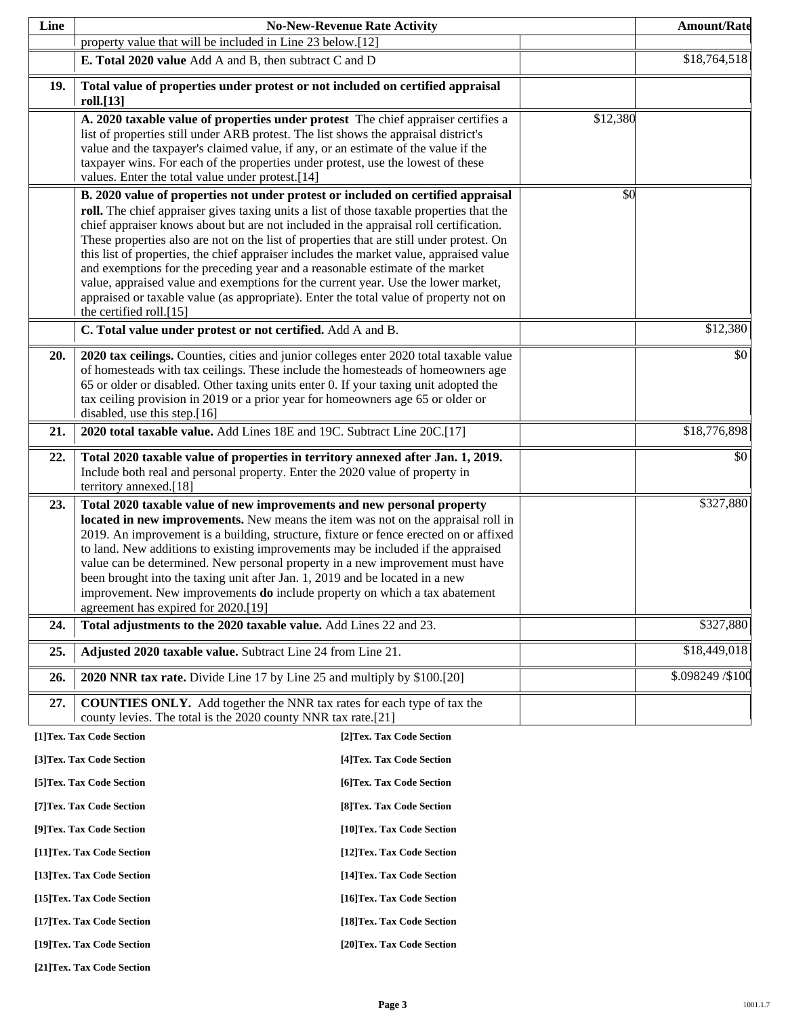| Line |                                                                                                                                                                                                                                                                                                                                                                                                                                                                                                                                                                                                                                                                                                                                                                                                                       | <b>No-New-Revenue Rate Activity</b> |          | <b>Amount/Rate</b> |
|------|-----------------------------------------------------------------------------------------------------------------------------------------------------------------------------------------------------------------------------------------------------------------------------------------------------------------------------------------------------------------------------------------------------------------------------------------------------------------------------------------------------------------------------------------------------------------------------------------------------------------------------------------------------------------------------------------------------------------------------------------------------------------------------------------------------------------------|-------------------------------------|----------|--------------------|
|      | property value that will be included in Line 23 below.[12]                                                                                                                                                                                                                                                                                                                                                                                                                                                                                                                                                                                                                                                                                                                                                            |                                     |          |                    |
|      | E. Total 2020 value Add A and B, then subtract C and D                                                                                                                                                                                                                                                                                                                                                                                                                                                                                                                                                                                                                                                                                                                                                                |                                     |          | \$18,764,518       |
| 19.  | Total value of properties under protest or not included on certified appraisal<br>roll.[13]                                                                                                                                                                                                                                                                                                                                                                                                                                                                                                                                                                                                                                                                                                                           |                                     |          |                    |
|      | A. 2020 taxable value of properties under protest The chief appraiser certifies a<br>list of properties still under ARB protest. The list shows the appraisal district's<br>value and the taxpayer's claimed value, if any, or an estimate of the value if the<br>taxpayer wins. For each of the properties under protest, use the lowest of these<br>values. Enter the total value under protest.[14]                                                                                                                                                                                                                                                                                                                                                                                                                |                                     | \$12,380 |                    |
|      | B. 2020 value of properties not under protest or included on certified appraisal<br>roll. The chief appraiser gives taxing units a list of those taxable properties that the<br>chief appraiser knows about but are not included in the appraisal roll certification.<br>These properties also are not on the list of properties that are still under protest. On<br>this list of properties, the chief appraiser includes the market value, appraised value<br>and exemptions for the preceding year and a reasonable estimate of the market<br>value, appraised value and exemptions for the current year. Use the lower market,<br>appraised or taxable value (as appropriate). Enter the total value of property not on<br>the certified roll.[15]<br>C. Total value under protest or not certified. Add A and B. |                                     | \$0      | \$12,380           |
| 20.  | 2020 tax ceilings. Counties, cities and junior colleges enter 2020 total taxable value<br>of homesteads with tax ceilings. These include the homesteads of homeowners age<br>65 or older or disabled. Other taxing units enter 0. If your taxing unit adopted the<br>tax ceiling provision in 2019 or a prior year for homeowners age 65 or older or<br>disabled, use this step.[16]                                                                                                                                                                                                                                                                                                                                                                                                                                  |                                     |          | \$0                |
| 21.  | 2020 total taxable value. Add Lines 18E and 19C. Subtract Line 20C.[17]                                                                                                                                                                                                                                                                                                                                                                                                                                                                                                                                                                                                                                                                                                                                               |                                     |          | \$18,776,898       |
| 22.  | Total 2020 taxable value of properties in territory annexed after Jan. 1, 2019.<br>Include both real and personal property. Enter the 2020 value of property in<br>territory annexed.[18]                                                                                                                                                                                                                                                                                                                                                                                                                                                                                                                                                                                                                             |                                     |          | \$0                |
| 23.  | Total 2020 taxable value of new improvements and new personal property<br>located in new improvements. New means the item was not on the appraisal roll in<br>2019. An improvement is a building, structure, fixture or fence erected on or affixed<br>to land. New additions to existing improvements may be included if the appraised<br>value can be determined. New personal property in a new improvement must have<br>been brought into the taxing unit after Jan. 1, 2019 and be located in a new<br>improvement. New improvements <b>do</b> include property on which a tax abatement<br>agreement has expired for 2020.[19]                                                                                                                                                                                  |                                     |          | \$327,880          |
| 24.  | Total adjustments to the 2020 taxable value. Add Lines 22 and 23.                                                                                                                                                                                                                                                                                                                                                                                                                                                                                                                                                                                                                                                                                                                                                     |                                     |          | \$327,880          |
| 25.  | Adjusted 2020 taxable value. Subtract Line 24 from Line 21.                                                                                                                                                                                                                                                                                                                                                                                                                                                                                                                                                                                                                                                                                                                                                           |                                     |          | \$18,449,018       |
| 26.  | 2020 NNR tax rate. Divide Line 17 by Line 25 and multiply by \$100.[20]                                                                                                                                                                                                                                                                                                                                                                                                                                                                                                                                                                                                                                                                                                                                               |                                     |          | \$.098249 / \$100  |
| 27.  | <b>COUNTIES ONLY.</b> Add together the NNR tax rates for each type of tax the<br>county levies. The total is the 2020 county NNR tax rate.[21]                                                                                                                                                                                                                                                                                                                                                                                                                                                                                                                                                                                                                                                                        |                                     |          |                    |
|      | [1]Tex. Tax Code Section                                                                                                                                                                                                                                                                                                                                                                                                                                                                                                                                                                                                                                                                                                                                                                                              | [2]Tex. Tax Code Section            |          |                    |
|      | [3]Tex. Tax Code Section                                                                                                                                                                                                                                                                                                                                                                                                                                                                                                                                                                                                                                                                                                                                                                                              | [4] Tex. Tax Code Section           |          |                    |
|      | [5]Tex. Tax Code Section                                                                                                                                                                                                                                                                                                                                                                                                                                                                                                                                                                                                                                                                                                                                                                                              | [6] Tex. Tax Code Section           |          |                    |
|      | [7] Tex. Tax Code Section                                                                                                                                                                                                                                                                                                                                                                                                                                                                                                                                                                                                                                                                                                                                                                                             | [8] Tex. Tax Code Section           |          |                    |
|      | [9]Tex. Tax Code Section                                                                                                                                                                                                                                                                                                                                                                                                                                                                                                                                                                                                                                                                                                                                                                                              | [10]Tex. Tax Code Section           |          |                    |
|      | [11] Tex. Tax Code Section                                                                                                                                                                                                                                                                                                                                                                                                                                                                                                                                                                                                                                                                                                                                                                                            | [12] Tex. Tax Code Section          |          |                    |
|      | [13] Tex. Tax Code Section                                                                                                                                                                                                                                                                                                                                                                                                                                                                                                                                                                                                                                                                                                                                                                                            | [14] Tex. Tax Code Section          |          |                    |
|      | [15] Tex. Tax Code Section                                                                                                                                                                                                                                                                                                                                                                                                                                                                                                                                                                                                                                                                                                                                                                                            | [16] Tex. Tax Code Section          |          |                    |
|      | [17] Tex. Tax Code Section                                                                                                                                                                                                                                                                                                                                                                                                                                                                                                                                                                                                                                                                                                                                                                                            | [18] Tex. Tax Code Section          |          |                    |
|      | [19]Tex. Tax Code Section                                                                                                                                                                                                                                                                                                                                                                                                                                                                                                                                                                                                                                                                                                                                                                                             | [20]Tex. Tax Code Section           |          |                    |

**[21]Tex. Tax Code Section**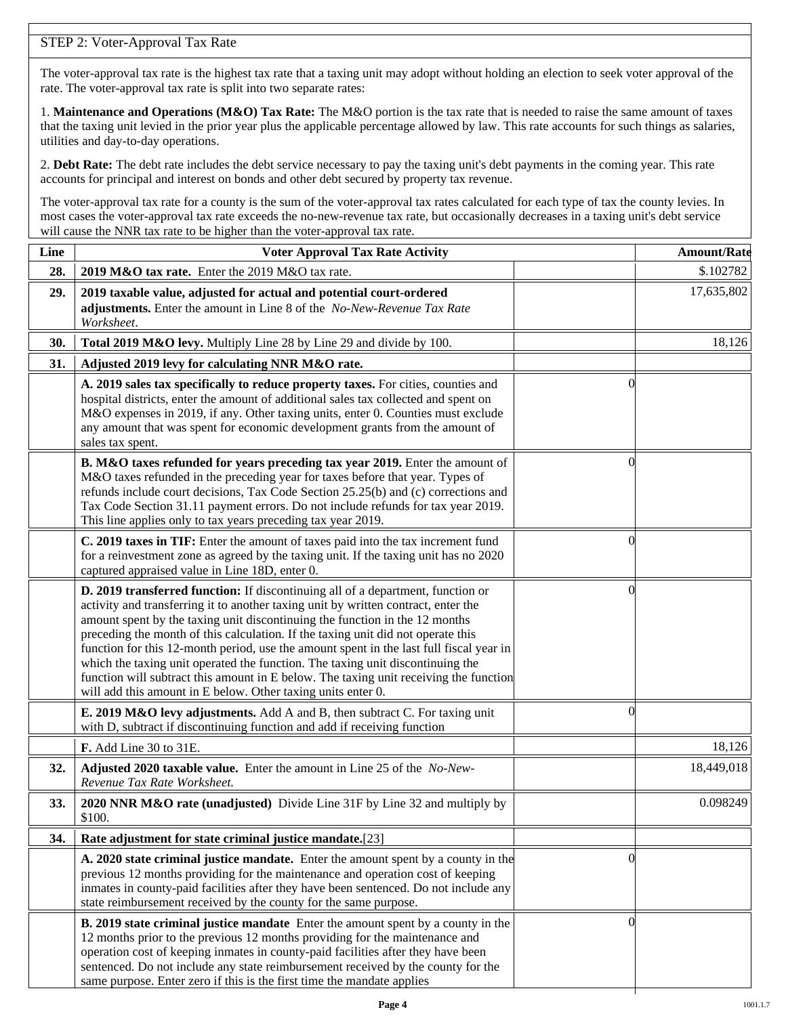## STEP 2: Voter-Approval Tax Rate

The voter-approval tax rate is the highest tax rate that a taxing unit may adopt without holding an election to seek voter approval of the rate. The voter-approval tax rate is split into two separate rates:

1. **Maintenance and Operations (M&O) Tax Rate:** The M&O portion is the tax rate that is needed to raise the same amount of taxes that the taxing unit levied in the prior year plus the applicable percentage allowed by law. This rate accounts for such things as salaries, utilities and day-to-day operations.

2. **Debt Rate:** The debt rate includes the debt service necessary to pay the taxing unit's debt payments in the coming year. This rate accounts for principal and interest on bonds and other debt secured by property tax revenue.

The voter-approval tax rate for a county is the sum of the voter-approval tax rates calculated for each type of tax the county levies. In most cases the voter-approval tax rate exceeds the no-new-revenue tax rate, but occasionally decreases in a taxing unit's debt service will cause the NNR tax rate to be higher than the voter-approval tax rate.

| Line | <b>Voter Approval Tax Rate Activity</b>                                                                                                                                                                                                                                                                                                                                                                                                                                                                                                                                                                                                                                        |                | <b>Amount/Rate</b> |
|------|--------------------------------------------------------------------------------------------------------------------------------------------------------------------------------------------------------------------------------------------------------------------------------------------------------------------------------------------------------------------------------------------------------------------------------------------------------------------------------------------------------------------------------------------------------------------------------------------------------------------------------------------------------------------------------|----------------|--------------------|
| 28.  | 2019 M&O tax rate. Enter the 2019 M&O tax rate.                                                                                                                                                                                                                                                                                                                                                                                                                                                                                                                                                                                                                                |                | \$.102782          |
| 29.  | 2019 taxable value, adjusted for actual and potential court-ordered<br>adjustments. Enter the amount in Line 8 of the No-New-Revenue Tax Rate<br>Worksheet.                                                                                                                                                                                                                                                                                                                                                                                                                                                                                                                    |                | 17,635,802         |
| 30.  | Total 2019 M&O levy. Multiply Line 28 by Line 29 and divide by 100.                                                                                                                                                                                                                                                                                                                                                                                                                                                                                                                                                                                                            |                | 18,126             |
| 31.  | Adjusted 2019 levy for calculating NNR M&O rate.                                                                                                                                                                                                                                                                                                                                                                                                                                                                                                                                                                                                                               |                |                    |
|      | A. 2019 sales tax specifically to reduce property taxes. For cities, counties and<br>hospital districts, enter the amount of additional sales tax collected and spent on<br>M&O expenses in 2019, if any. Other taxing units, enter 0. Counties must exclude<br>any amount that was spent for economic development grants from the amount of<br>sales tax spent.                                                                                                                                                                                                                                                                                                               | $\Omega$       |                    |
|      | B. M&O taxes refunded for years preceding tax year 2019. Enter the amount of<br>M&O taxes refunded in the preceding year for taxes before that year. Types of<br>refunds include court decisions, Tax Code Section 25.25(b) and (c) corrections and<br>Tax Code Section 31.11 payment errors. Do not include refunds for tax year 2019.<br>This line applies only to tax years preceding tax year 2019.                                                                                                                                                                                                                                                                        | $\Omega$       |                    |
|      | C. 2019 taxes in TIF: Enter the amount of taxes paid into the tax increment fund<br>for a reinvestment zone as agreed by the taxing unit. If the taxing unit has no 2020<br>captured appraised value in Line 18D, enter 0.                                                                                                                                                                                                                                                                                                                                                                                                                                                     | 0              |                    |
|      | D. 2019 transferred function: If discontinuing all of a department, function or<br>activity and transferring it to another taxing unit by written contract, enter the<br>amount spent by the taxing unit discontinuing the function in the 12 months<br>preceding the month of this calculation. If the taxing unit did not operate this<br>function for this 12-month period, use the amount spent in the last full fiscal year in<br>which the taxing unit operated the function. The taxing unit discontinuing the<br>function will subtract this amount in E below. The taxing unit receiving the function<br>will add this amount in E below. Other taxing units enter 0. | $\left($       |                    |
|      | E. 2019 M&O levy adjustments. Add A and B, then subtract C. For taxing unit<br>with D, subtract if discontinuing function and add if receiving function                                                                                                                                                                                                                                                                                                                                                                                                                                                                                                                        | $\Omega$       |                    |
|      | F. Add Line 30 to 31E.                                                                                                                                                                                                                                                                                                                                                                                                                                                                                                                                                                                                                                                         |                | 18,126             |
| 32.  | Adjusted 2020 taxable value. Enter the amount in Line 25 of the No-New-<br>Revenue Tax Rate Worksheet.                                                                                                                                                                                                                                                                                                                                                                                                                                                                                                                                                                         |                | 18,449,018         |
| 33.  | 2020 NNR M&O rate (unadjusted) Divide Line 31F by Line 32 and multiply by<br>\$100.                                                                                                                                                                                                                                                                                                                                                                                                                                                                                                                                                                                            |                | 0.098249           |
| 34.  | Rate adjustment for state criminal justice mandate.[23]                                                                                                                                                                                                                                                                                                                                                                                                                                                                                                                                                                                                                        |                |                    |
|      | A. 2020 state criminal justice mandate. Enter the amount spent by a county in the<br>previous 12 months providing for the maintenance and operation cost of keeping<br>inmates in county-paid facilities after they have been sentenced. Do not include any<br>state reimbursement received by the county for the same purpose.                                                                                                                                                                                                                                                                                                                                                | $\Omega$       |                    |
|      | <b>B. 2019 state criminal justice mandate</b> Enter the amount spent by a county in the<br>12 months prior to the previous 12 months providing for the maintenance and<br>operation cost of keeping inmates in county-paid facilities after they have been<br>sentenced. Do not include any state reimbursement received by the county for the<br>same purpose. Enter zero if this is the first time the mandate applies                                                                                                                                                                                                                                                       | $\overline{0}$ |                    |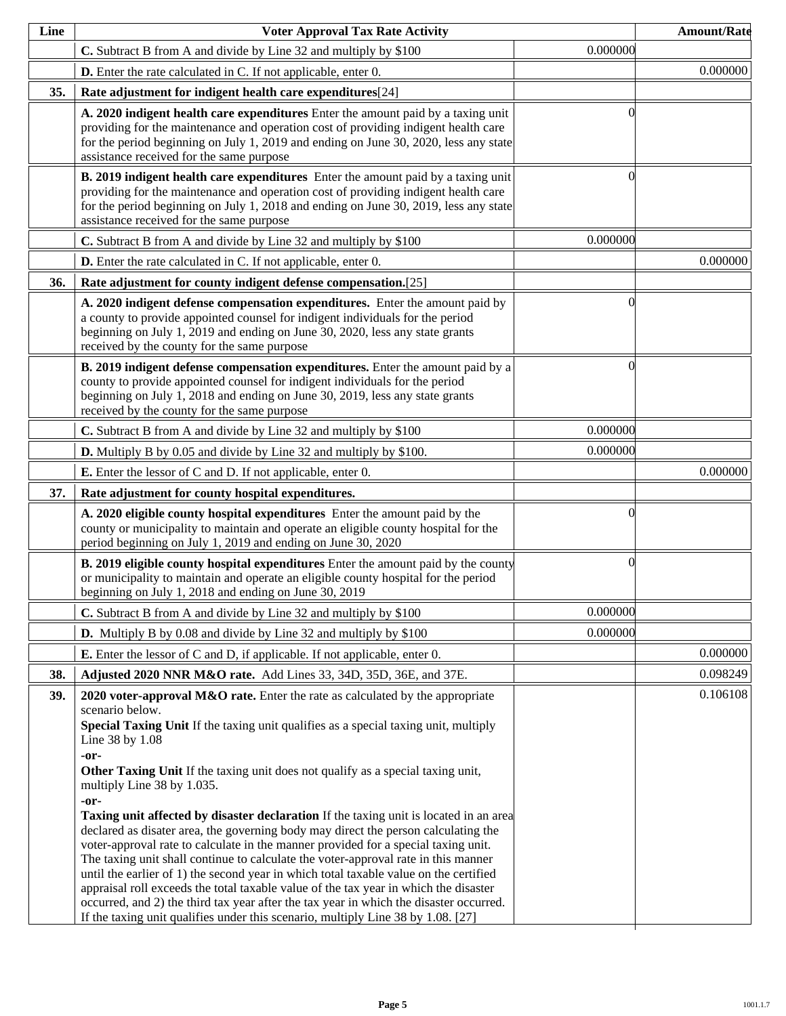| Line | <b>Voter Approval Tax Rate Activity</b>                                                                                                                                                                                                                                                                                                                                                                                                                                                                                                                                                                                                                                                                                                                                                                                                                                                                                                                                                                                                                                      |          | <b>Amount/Rate</b> |
|------|------------------------------------------------------------------------------------------------------------------------------------------------------------------------------------------------------------------------------------------------------------------------------------------------------------------------------------------------------------------------------------------------------------------------------------------------------------------------------------------------------------------------------------------------------------------------------------------------------------------------------------------------------------------------------------------------------------------------------------------------------------------------------------------------------------------------------------------------------------------------------------------------------------------------------------------------------------------------------------------------------------------------------------------------------------------------------|----------|--------------------|
|      | C. Subtract B from A and divide by Line 32 and multiply by \$100                                                                                                                                                                                                                                                                                                                                                                                                                                                                                                                                                                                                                                                                                                                                                                                                                                                                                                                                                                                                             | 0.000000 |                    |
|      | <b>D.</b> Enter the rate calculated in C. If not applicable, enter 0.                                                                                                                                                                                                                                                                                                                                                                                                                                                                                                                                                                                                                                                                                                                                                                                                                                                                                                                                                                                                        |          | 0.000000           |
| 35.  | Rate adjustment for indigent health care expenditures[24]                                                                                                                                                                                                                                                                                                                                                                                                                                                                                                                                                                                                                                                                                                                                                                                                                                                                                                                                                                                                                    |          |                    |
|      | A. 2020 indigent health care expenditures Enter the amount paid by a taxing unit<br>providing for the maintenance and operation cost of providing indigent health care<br>for the period beginning on July 1, 2019 and ending on June 30, 2020, less any state<br>assistance received for the same purpose                                                                                                                                                                                                                                                                                                                                                                                                                                                                                                                                                                                                                                                                                                                                                                   | ſ        |                    |
|      | B. 2019 indigent health care expenditures Enter the amount paid by a taxing unit<br>providing for the maintenance and operation cost of providing indigent health care<br>for the period beginning on July 1, 2018 and ending on June 30, 2019, less any state<br>assistance received for the same purpose                                                                                                                                                                                                                                                                                                                                                                                                                                                                                                                                                                                                                                                                                                                                                                   | 0        |                    |
|      | C. Subtract B from A and divide by Line 32 and multiply by \$100                                                                                                                                                                                                                                                                                                                                                                                                                                                                                                                                                                                                                                                                                                                                                                                                                                                                                                                                                                                                             | 0.000000 |                    |
|      | <b>D.</b> Enter the rate calculated in C. If not applicable, enter 0.                                                                                                                                                                                                                                                                                                                                                                                                                                                                                                                                                                                                                                                                                                                                                                                                                                                                                                                                                                                                        |          | 0.000000           |
| 36.  | Rate adjustment for county indigent defense compensation.[25]                                                                                                                                                                                                                                                                                                                                                                                                                                                                                                                                                                                                                                                                                                                                                                                                                                                                                                                                                                                                                |          |                    |
|      | A. 2020 indigent defense compensation expenditures. Enter the amount paid by<br>a county to provide appointed counsel for indigent individuals for the period<br>beginning on July 1, 2019 and ending on June 30, 2020, less any state grants<br>received by the county for the same purpose                                                                                                                                                                                                                                                                                                                                                                                                                                                                                                                                                                                                                                                                                                                                                                                 | 0        |                    |
|      | B. 2019 indigent defense compensation expenditures. Enter the amount paid by a<br>county to provide appointed counsel for indigent individuals for the period<br>beginning on July 1, 2018 and ending on June 30, 2019, less any state grants<br>received by the county for the same purpose                                                                                                                                                                                                                                                                                                                                                                                                                                                                                                                                                                                                                                                                                                                                                                                 | 0        |                    |
|      | C. Subtract B from A and divide by Line 32 and multiply by \$100                                                                                                                                                                                                                                                                                                                                                                                                                                                                                                                                                                                                                                                                                                                                                                                                                                                                                                                                                                                                             | 0.000000 |                    |
|      | <b>D.</b> Multiply B by 0.05 and divide by Line 32 and multiply by \$100.                                                                                                                                                                                                                                                                                                                                                                                                                                                                                                                                                                                                                                                                                                                                                                                                                                                                                                                                                                                                    | 0.000000 |                    |
|      | <b>E.</b> Enter the lessor of C and D. If not applicable, enter 0.                                                                                                                                                                                                                                                                                                                                                                                                                                                                                                                                                                                                                                                                                                                                                                                                                                                                                                                                                                                                           |          | 0.000000           |
| 37.  | Rate adjustment for county hospital expenditures.                                                                                                                                                                                                                                                                                                                                                                                                                                                                                                                                                                                                                                                                                                                                                                                                                                                                                                                                                                                                                            |          |                    |
|      | A. 2020 eligible county hospital expenditures Enter the amount paid by the<br>county or municipality to maintain and operate an eligible county hospital for the<br>period beginning on July 1, 2019 and ending on June 30, 2020                                                                                                                                                                                                                                                                                                                                                                                                                                                                                                                                                                                                                                                                                                                                                                                                                                             | 0        |                    |
|      | <b>B. 2019 eligible county hospital expenditures</b> Enter the amount paid by the county<br>or municipality to maintain and operate an eligible county hospital for the period<br>beginning on July 1, 2018 and ending on June 30, 2019                                                                                                                                                                                                                                                                                                                                                                                                                                                                                                                                                                                                                                                                                                                                                                                                                                      | $\Omega$ |                    |
|      | C. Subtract B from A and divide by Line 32 and multiply by \$100                                                                                                                                                                                                                                                                                                                                                                                                                                                                                                                                                                                                                                                                                                                                                                                                                                                                                                                                                                                                             | 0.000000 |                    |
|      | <b>D.</b> Multiply B by 0.08 and divide by Line 32 and multiply by \$100                                                                                                                                                                                                                                                                                                                                                                                                                                                                                                                                                                                                                                                                                                                                                                                                                                                                                                                                                                                                     | 0.000000 |                    |
|      | <b>E.</b> Enter the lessor of C and D, if applicable. If not applicable, enter 0.                                                                                                                                                                                                                                                                                                                                                                                                                                                                                                                                                                                                                                                                                                                                                                                                                                                                                                                                                                                            |          | 0.000000           |
| 38.  | Adjusted 2020 NNR M&O rate. Add Lines 33, 34D, 35D, 36E, and 37E.                                                                                                                                                                                                                                                                                                                                                                                                                                                                                                                                                                                                                                                                                                                                                                                                                                                                                                                                                                                                            |          | 0.098249           |
| 39.  | 2020 voter-approval M&O rate. Enter the rate as calculated by the appropriate<br>scenario below.<br>Special Taxing Unit If the taxing unit qualifies as a special taxing unit, multiply<br>Line 38 by 1.08<br>-or-<br>Other Taxing Unit If the taxing unit does not qualify as a special taxing unit,<br>multiply Line 38 by 1.035.<br>-or-<br><b>Taxing unit affected by disaster declaration</b> If the taxing unit is located in an area<br>declared as disater area, the governing body may direct the person calculating the<br>voter-approval rate to calculate in the manner provided for a special taxing unit.<br>The taxing unit shall continue to calculate the voter-approval rate in this manner<br>until the earlier of 1) the second year in which total taxable value on the certified<br>appraisal roll exceeds the total taxable value of the tax year in which the disaster<br>occurred, and 2) the third tax year after the tax year in which the disaster occurred.<br>If the taxing unit qualifies under this scenario, multiply Line 38 by 1.08. [27] |          | 0.106108           |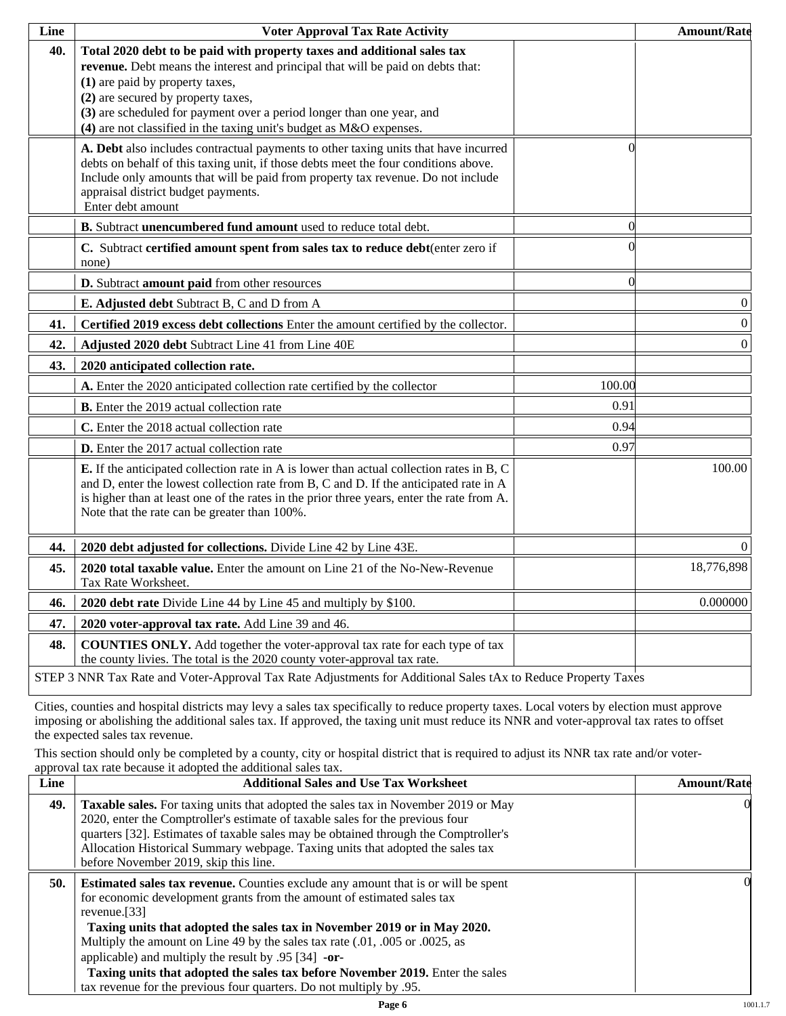| Line | <b>Voter Approval Tax Rate Activity</b>                                                                                                                                                                                                                                                                                                                                             |          | <b>Amount/Rate</b> |
|------|-------------------------------------------------------------------------------------------------------------------------------------------------------------------------------------------------------------------------------------------------------------------------------------------------------------------------------------------------------------------------------------|----------|--------------------|
| 40.  | Total 2020 debt to be paid with property taxes and additional sales tax<br>revenue. Debt means the interest and principal that will be paid on debts that:<br>(1) are paid by property taxes,<br>(2) are secured by property taxes,<br>(3) are scheduled for payment over a period longer than one year, and<br>(4) are not classified in the taxing unit's budget as M&O expenses. |          |                    |
|      | A. Debt also includes contractual payments to other taxing units that have incurred<br>debts on behalf of this taxing unit, if those debts meet the four conditions above.<br>Include only amounts that will be paid from property tax revenue. Do not include<br>appraisal district budget payments.<br>Enter debt amount                                                          | 0        |                    |
|      | B. Subtract unencumbered fund amount used to reduce total debt.                                                                                                                                                                                                                                                                                                                     | $\Omega$ |                    |
|      | C. Subtract certified amount spent from sales tax to reduce debt(enter zero if<br>none)                                                                                                                                                                                                                                                                                             |          |                    |
|      | D. Subtract amount paid from other resources                                                                                                                                                                                                                                                                                                                                        | $\Omega$ |                    |
|      | E. Adjusted debt Subtract B, C and D from A                                                                                                                                                                                                                                                                                                                                         |          | $\boldsymbol{0}$   |
| 41.  | Certified 2019 excess debt collections Enter the amount certified by the collector.                                                                                                                                                                                                                                                                                                 |          | $\boldsymbol{0}$   |
| 42.  | Adjusted 2020 debt Subtract Line 41 from Line 40E                                                                                                                                                                                                                                                                                                                                   |          | $\boldsymbol{0}$   |
| 43.  | 2020 anticipated collection rate.                                                                                                                                                                                                                                                                                                                                                   |          |                    |
|      | A. Enter the 2020 anticipated collection rate certified by the collector                                                                                                                                                                                                                                                                                                            | 100.00   |                    |
|      | <b>B.</b> Enter the 2019 actual collection rate                                                                                                                                                                                                                                                                                                                                     | 0.91     |                    |
|      | C. Enter the 2018 actual collection rate                                                                                                                                                                                                                                                                                                                                            | 0.94     |                    |
|      | D. Enter the 2017 actual collection rate                                                                                                                                                                                                                                                                                                                                            | 0.97     |                    |
|      | <b>E.</b> If the anticipated collection rate in A is lower than actual collection rates in B, C<br>and D, enter the lowest collection rate from B, C and D. If the anticipated rate in A<br>is higher than at least one of the rates in the prior three years, enter the rate from A.<br>Note that the rate can be greater than 100%.                                               |          | 100.00             |
| 44.  | 2020 debt adjusted for collections. Divide Line 42 by Line 43E.                                                                                                                                                                                                                                                                                                                     |          | $\Omega$           |
| 45.  | 2020 total taxable value. Enter the amount on Line 21 of the No-New-Revenue<br>Tax Rate Worksheet.                                                                                                                                                                                                                                                                                  |          | 18,776,898         |
| 46.  | 2020 debt rate Divide Line 44 by Line 45 and multiply by \$100.                                                                                                                                                                                                                                                                                                                     |          | 0.000000           |
| 47.  | 2020 voter-approval tax rate. Add Line 39 and 46.                                                                                                                                                                                                                                                                                                                                   |          |                    |
| 48.  | <b>COUNTIES ONLY.</b> Add together the voter-approval tax rate for each type of tax<br>the county livies. The total is the 2020 county voter-approval tax rate.                                                                                                                                                                                                                     |          |                    |
|      | STEP 3 NNR Tax Rate and Voter-Approval Tax Rate Adjustments for Additional Sales tAx to Reduce Property Taxes                                                                                                                                                                                                                                                                       |          |                    |

Cities, counties and hospital districts may levy a sales tax specifically to reduce property taxes. Local voters by election must approve imposing or abolishing the additional sales tax. If approved, the taxing unit must reduce its NNR and voter-approval tax rates to offset the expected sales tax revenue.

This section should only be completed by a county, city or hospital district that is required to adjust its NNR tax rate and/or voterapproval tax rate because it adopted the additional sales tax.

| <b>Additional Sales and Use Tax Worksheet</b>                                                                                                                                                                                                                                                                                                                                                                                                                                                | <b>Amount/Rate</b>                                                  |
|----------------------------------------------------------------------------------------------------------------------------------------------------------------------------------------------------------------------------------------------------------------------------------------------------------------------------------------------------------------------------------------------------------------------------------------------------------------------------------------------|---------------------------------------------------------------------|
| Taxable sales. For taxing units that adopted the sales tax in November 2019 or May<br>2020, enter the Comptroller's estimate of taxable sales for the previous four<br>quarters [32]. Estimates of taxable sales may be obtained through the Comptroller's<br>Allocation Historical Summary webpage. Taxing units that adopted the sales tax<br>before November 2019, skip this line.                                                                                                        | $\Omega$                                                            |
| <b>Estimated sales tax revenue.</b> Counties exclude any amount that is or will be spent<br>for economic development grants from the amount of estimated sales tax<br>revenue. $[33]$<br>Taxing units that adopted the sales tax in November 2019 or in May 2020.<br>Multiply the amount on Line 49 by the sales tax rate (.01, .005 or .0025, as<br>applicable) and multiply the result by $.95$ [34] -or-<br>Taxing units that adopted the sales tax before November 2019. Enter the sales | OI.                                                                 |
|                                                                                                                                                                                                                                                                                                                                                                                                                                                                                              | tax revenue for the previous four quarters. Do not multiply by .95. |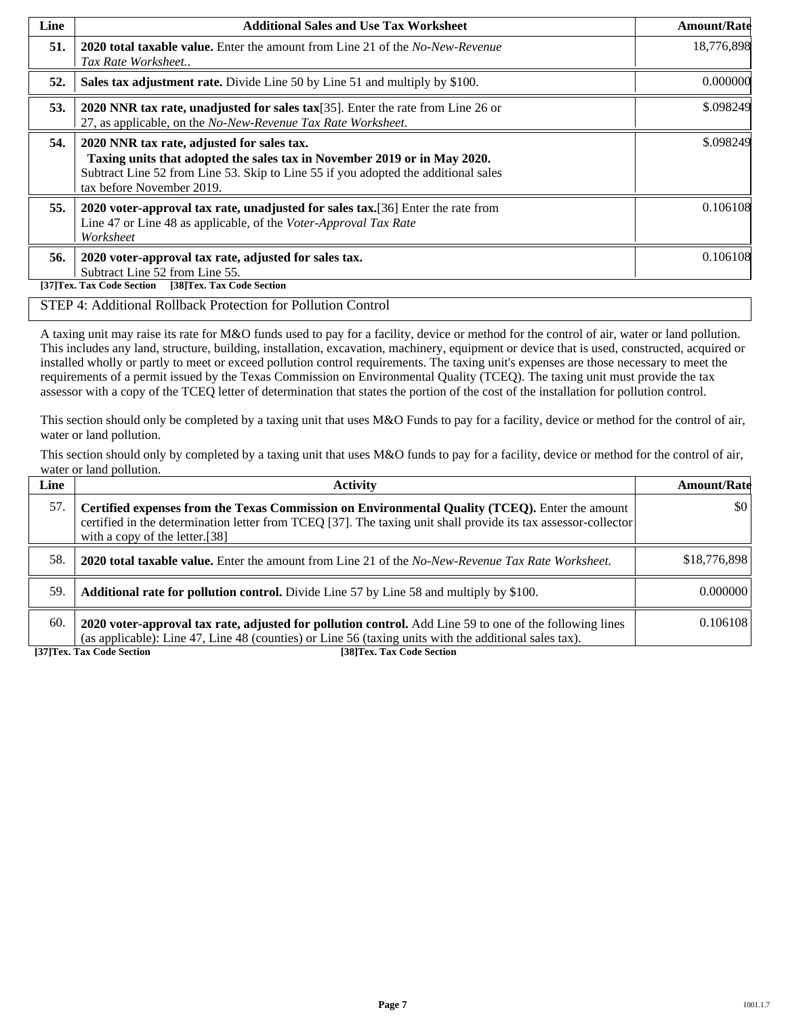| Line | <b>Additional Sales and Use Tax Worksheet</b>                                                                                                                                                                                             | <b>Amount/Rate</b> |
|------|-------------------------------------------------------------------------------------------------------------------------------------------------------------------------------------------------------------------------------------------|--------------------|
| 51.  | <b>2020 total taxable value.</b> Enter the amount from Line 21 of the <i>No-New-Revenue</i><br>Tax Rate Worksheet                                                                                                                         | 18,776,898         |
| 52.  | Sales tax adjustment rate. Divide Line 50 by Line 51 and multiply by \$100.                                                                                                                                                               | 0.000000           |
| 53.  | 2020 NNR tax rate, unadjusted for sales tax[35]. Enter the rate from Line 26 or<br>27, as applicable, on the No-New-Revenue Tax Rate Worksheet.                                                                                           | \$.098249          |
| 54.  | 2020 NNR tax rate, adjusted for sales tax.<br>Taxing units that adopted the sales tax in November 2019 or in May 2020.<br>Subtract Line 52 from Line 53. Skip to Line 55 if you adopted the additional sales<br>tax before November 2019. | \$.098249          |
| 55.  | 2020 voter-approval tax rate, unadjusted for sales tax. [36] Enter the rate from<br>Line 47 or Line 48 as applicable, of the Voter-Approval Tax Rate<br>Worksheet                                                                         | 0.106108           |
| 56.  | 2020 voter-approval tax rate, adjusted for sales tax.<br>Subtract Line 52 from Line 55.<br>[38]Tex. Tax Code Section<br>[37]Tex. Tax Code Section                                                                                         | 0.106108           |

#### STEP 4: Additional Rollback Protection for Pollution Control

A taxing unit may raise its rate for M&O funds used to pay for a facility, device or method for the control of air, water or land pollution. This includes any land, structure, building, installation, excavation, machinery, equipment or device that is used, constructed, acquired or installed wholly or partly to meet or exceed pollution control requirements. The taxing unit's expenses are those necessary to meet the requirements of a permit issued by the Texas Commission on Environmental Quality (TCEQ). The taxing unit must provide the tax assessor with a copy of the TCEQ letter of determination that states the portion of the cost of the installation for pollution control.

This section should only be completed by a taxing unit that uses M&O Funds to pay for a facility, device or method for the control of air, water or land pollution.

This section should only by completed by a taxing unit that uses M&O funds to pay for a facility, device or method for the control of air, water or land pollution.

| Line | <b>Activity</b>                                                                                                                                                                                                                                    | <b>Amount/Rate</b>      |
|------|----------------------------------------------------------------------------------------------------------------------------------------------------------------------------------------------------------------------------------------------------|-------------------------|
| 57.  | Certified expenses from the Texas Commission on Environmental Quality (TCEQ). Enter the amount<br>certified in the determination letter from TCEQ [37]. The taxing unit shall provide its tax assessor-collector<br>with a copy of the letter.[38] | $\vert \$\text{0}\vert$ |
| 58.  | <b>2020 total taxable value.</b> Enter the amount from Line 21 of the No-New-Revenue Tax Rate Worksheet.                                                                                                                                           | \$18,776,898            |
| 59.  | <b>Additional rate for pollution control.</b> Divide Line 57 by Line 58 and multiply by \$100.                                                                                                                                                     | 0.000000                |
| 60.  | 2020 voter-approval tax rate, adjusted for pollution control. Add Line 59 to one of the following lines<br>(as applicable): Line 47, Line 48 (counties) or Line 56 (taxing units with the additional sales tax).                                   | 0.106108                |

**[37]Tex. Tax Code Section [38]Tex. Tax Code Section**